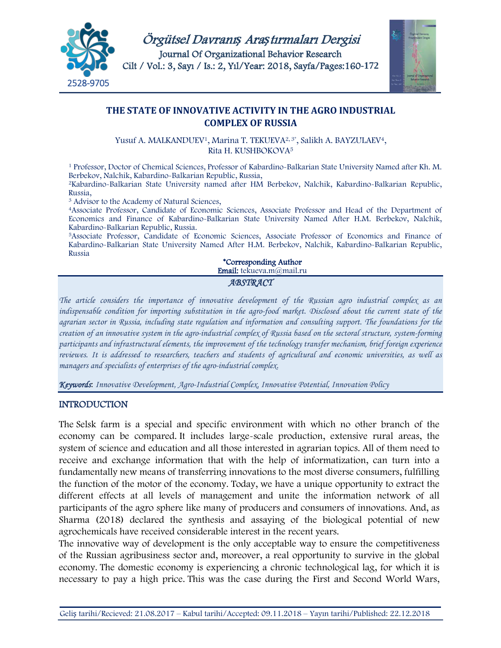



# **THE STATE OF INNOVATIVE ACTIVITY IN THE AGRO INDUSTRIAL COMPLEX OF RUSSIA**

Yusuf A. MALKANDUEV<sup>1</sup>, Marina T. TEKUEVA<sup>2, 3\*</sup>, Salikh A. BAYZULAEV<sup>4</sup>, Rita H. KUSHBOKOVA<sup>5</sup>

<sup>1</sup> Professor, Doctor of Chemical Sciences, Professor of Kabardino-Balkarian State University Named after Kh. M. Berbekov, Nalchik, Kabardino-Balkarian Republic, Russia,

<sup>2</sup>Kabardino-Balkarian State University named after HM Berbekov, Nalchik, Kabardino-Balkarian Republic, Russia,

<sup>3</sup> Advisor to the Academy of Natural Sciences,

<sup>4</sup>Associate Professor, Candidate of Economic Sciences, Associate Professor and Head of the Department of Economics and Finance of Kabardino-Balkarian State University Named After H.M. Berbekov, Nalchik, Kabardino-Balkarian Republic, Russia.

<sup>5</sup>Associate Professor, Candidate of Economic Sciences, Associate Professor of Economics and Finance of Kabardino-Balkarian State University Named After H.M. Berbekov, Nalchik, Kabardino-Balkarian Republic, Russia

### \*Corresponding Author

Email: tekueva.m@mail.ru

#### *ABSTRACT*

*The article considers the importance of innovative development of the Russian agro industrial complex as an indispensable condition for importing substitution in the agro-food market. Disclosed about the current state of the agrarian sector in Russia, including state regulation and information and consulting support. The foundations for the creation of an innovative system in the agro-industrial complex of Russia based on the sectoral structure, system-forming participants and infrastructural elements, the improvement of the technology transfer mechanism, brief foreign experience reviewes. It is addressed to researchers, teachers and students of agricultural and economic universities, as well as managers and specialists of enterprises of the agro-industrial complex.*

*Keywords*: *Innovative Development, Agro-Industrial Complex, Innovative Potential, Innovation Policy*

### INTRODUCTION

The Selsk farm is a special and specific environment with which no other branch of the economy can be compared. It includes large-scale production, extensive rural areas, the system of science and education and all those interested in agrarian topics. All of them need to receive and exchange information that with the help of informatization, can turn into a fundamentally new means of transferring innovations to the most diverse consumers, fulfilling the function of the motor of the economy. Today, we have a unique opportunity to extract the different effects at all levels of management and unite the information network of all participants of the agro sphere like many of producers and consumers of innovations. And, as Sharma (2018) declared the synthesis and assaying of the biological potential of new agrochemicals have received considerable interest in the recent years.

The innovative way of development is the only acceptable way to ensure the competitiveness of the Russian agribusiness sector and, moreover, a real opportunity to survive in the global economy. The domestic economy is experiencing a chronic technological lag, for which it is necessary to pay a high price. This was the case during the First and Second World Wars,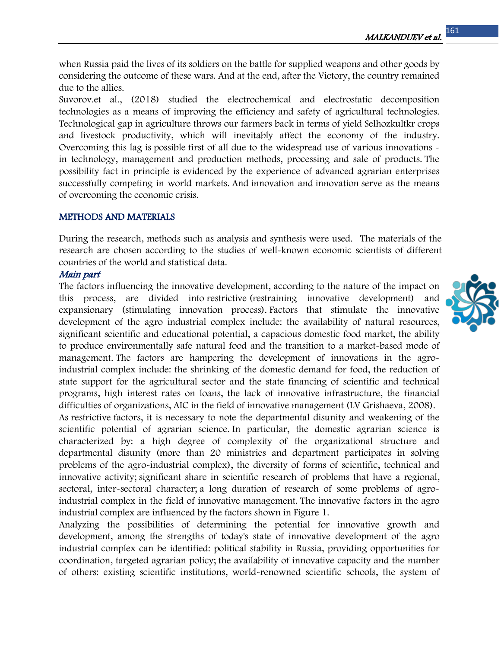when Russia paid the lives of its soldiers on the battle for supplied weapons and other goods by considering the outcome of these wars. And at the end, after the Victory, the country remained due to the allies.

Suvorov.et al., (2018) studied the electrochemical and electrostatic decomposition technologies as a means of improving the efficiency and safety of agricultural technologies. Technological gap in agriculture throws our farmers back in terms of yield Selhozkultkr crops and livestock productivity, which will inevitably affect the economy of the industry. Overcoming this lag is possible first of all due to the widespread use of various innovations in technology, management and production methods, processing and sale of products. The possibility fact in principle is evidenced by the experience of advanced agrarian enterprises successfully competing in world markets. And innovation and innovation serve as the means of overcoming the economic crisis.

### METHODS AND MATERIALS

During the research, methods such as analysis and synthesis were used. The materials of the research are chosen according to the studies of well-known economic scientists of different countries of the world and statistical data.

### Main part

The factors influencing the innovative development, according to the nature of the impact on this process, are divided into restrictive (restraining innovative development) and expansionary (stimulating innovation process). Factors that stimulate the innovative development of the agro industrial complex include: the availability of natural resources, significant scientific and educational potential, a capacious domestic food market, the ability to produce environmentally safe natural food and the transition to a market-based mode of management. The factors are hampering the development of innovations in the agroindustrial complex include: the shrinking of the domestic demand for food, the reduction of state support for the agricultural sector and the state financing of scientific and technical programs, high interest rates on loans, the lack of innovative infrastructure, the financial difficulties of organizations, AIC in the field of innovative management (LV Grishaeva, 2008).

As restrictive factors, it is necessary to note the departmental disunity and weakening of the scientific potential of agrarian science. In particular, the domestic agrarian science is characterized by: a high degree of complexity of the organizational structure and departmental disunity (more than 20 ministries and department participates in solving problems of the agro-industrial complex), the diversity of forms of scientific, technical and innovative activity; significant share in scientific research of problems that have a regional, sectoral, inter-sectoral character; a long duration of research of some problems of agroindustrial complex in the field of innovative management. The innovative factors in the agro industrial complex are influenced by the factors shown in Figure 1.

Analyzing the possibilities of determining the potential for innovative growth and development, among the strengths of today's state of innovative development of the agro industrial complex can be identified: political stability in Russia, providing opportunities for coordination, targeted agrarian policy; the availability of innovative capacity and the number of others: existing scientific institutions, world-renowned scientific schools, the system of

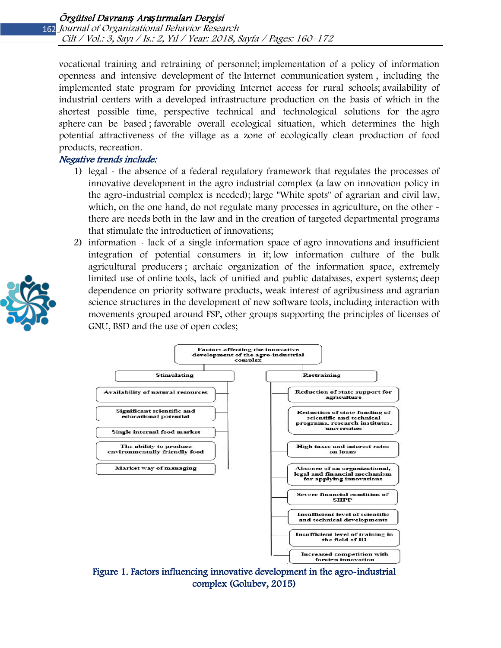GNU, BSD and the use of open codes;

vocational training and retraining of personnel; implementation of a policy of information openness and intensive development of the Internet communication system , including the implemented state program for providing Internet access for rural schools; availability of industrial centers with a developed infrastructure production on the basis of which in the shortest possible time, perspective technical and technological solutions for the agro sphere can be based ; favorable overall ecological situation, which determines the high potential attractiveness of the village as a zone of ecologically clean production of food products, recreation.

#### Negative trends include:

1) legal - the absence of a federal regulatory framework that regulates the processes of innovative development in the agro industrial complex (a law on innovation policy in the agro-industrial complex is needed); large "White spots" of agrarian and civil law, which, on the one hand, do not regulate many processes in agriculture, on the other there are needs both in the law and in the creation of targeted departmental programs that stimulate the introduction of innovations;

2) information - lack of a single information space of agro innovations and insufficient integration of potential consumers in it; low information culture of the bulk agricultural producers ; archaic organization of the information space, extremely limited use of online tools, lack of unified and public databases, expert systems; deep dependence on priority software products, weak interest of agribusiness and agrarian science structures in the development of new software tools, including interaction with movements grouped around FSP, other groups supporting the principles of licenses of



Figure 1. Factors influencing innovative development in the agro-industrial complex (Golubev, 2015)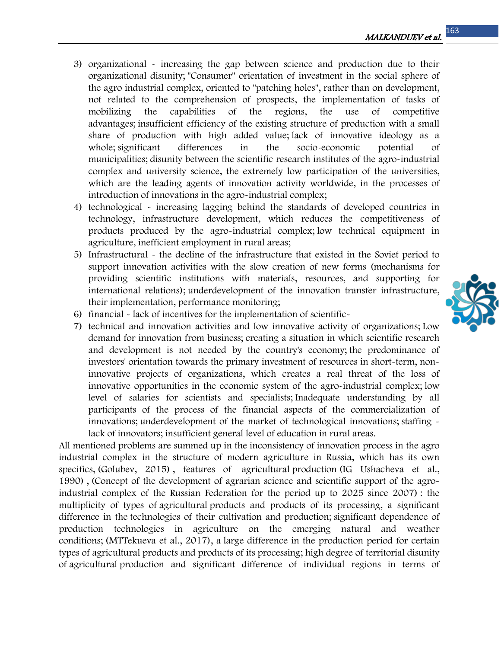- 3) organizational increasing the gap between science and production due to their organizational disunity; "Consumer" orientation of investment in the social sphere of the agro industrial complex, oriented to "patching holes", rather than on development, not related to the comprehension of prospects, the implementation of tasks of mobilizing the capabilities of the regions, the use of competitive advantages; insufficient efficiency of the existing structure of production with a small share of production with high added value; lack of innovative ideology as a whole; significant differences in the socio-economic potential of municipalities; disunity between the scientific research institutes of the agro-industrial complex and university science, the extremely low participation of the universities, which are the leading agents of innovation activity worldwide, in the processes of introduction of innovations in the agro-industrial complex;
- 4) technological increasing lagging behind the standards of developed countries in technology, infrastructure development, which reduces the competitiveness of products produced by the agro-industrial complex; low technical equipment in agriculture, inefficient employment in rural areas;
- 5) Infrastructural the decline of the infrastructure that existed in the Soviet period to support innovation activities with the slow creation of new forms (mechanisms for providing scientific institutions with materials, resources, and supporting for international relations); underdevelopment of the innovation transfer infrastructure, their implementation, performance monitoring;
- 6) financial lack of incentives for the implementation of scientific-
- 7) technical and innovation activities and low innovative activity of organizations; Low demand for innovation from business; creating a situation in which scientific research and development is not needed by the country's economy; the predominance of investors' orientation towards the primary investment of resources in short-term, noninnovative projects of organizations, which creates a real threat of the loss of innovative opportunities in the economic system of the agro-industrial complex; low level of salaries for scientists and specialists; Inadequate understanding by all participants of the process of the financial aspects of the commercialization of innovations; underdevelopment of the market of technological innovations; staffing lack of innovators; insufficient general level of education in rural areas.

All mentioned problems are summed up in the inconsistency of innovation process in the agro industrial complex in the structure of modern agriculture in Russia, which has its own specifics, (Golubev, 2015) , features of agricultural production (IG Ushacheva et al., 1990) , (Concept of the development of agrarian science and scientific support of the agroindustrial complex of the Russian Federation for the period up to 2025 since 2007) : the multiplicity of types of agricultural products and products of its processing, a significant difference in the technologies of their cultivation and production; significant dependence of production technologies in agriculture on the emerging natural and weather conditions; (MTTekueva et al., 2017), a large difference in the production period for certain types of agricultural products and products of its processing; high degree of territorial disunity of agricultural production and significant difference of individual regions in terms of

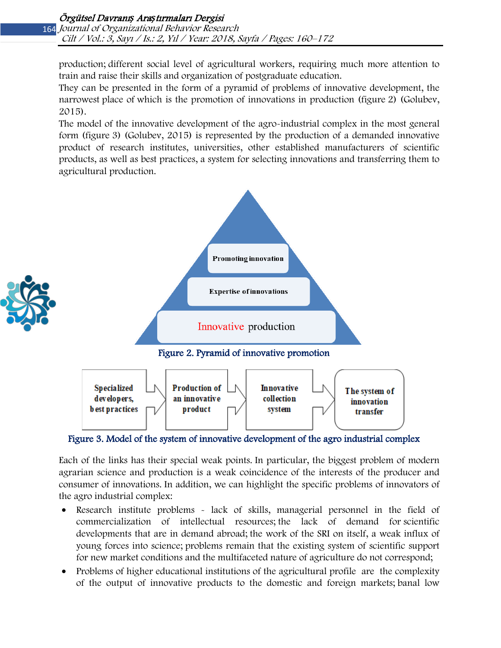production; different social level of agricultural workers, requiring much more attention to train and raise their skills and organization of postgraduate education.

They can be presented in the form of a pyramid of problems of innovative development, the narrowest place of which is the promotion of innovations in production (figure 2) (Golubev, 2015).

The model of the innovative development of the agro-industrial complex in the most general form (figure 3) (Golubev, 2015) is represented by the production of a demanded innovative product of research institutes, universities, other established manufacturers of scientific products, as well as best practices, a system for selecting innovations and transferring them to agricultural production.



Figure 3. Model of the system of innovative development of the agro industrial complex

Each of the links has their special weak points. In particular, the biggest problem of modern agrarian science and production is a weak coincidence of the interests of the producer and consumer of innovations. In addition, we can highlight the specific problems of innovators of the agro industrial complex:

- Research institute problems lack of skills, managerial personnel in the field of commercialization of intellectual resources; the lack of demand for scientific developments that are in demand abroad; the work of the SRI on itself, a weak influx of young forces into science; problems remain that the existing system of scientific support for new market conditions and the multifaceted nature of agriculture do not correspond;
- Problems of higher educational institutions of the agricultural profile are the complexity of the output of innovative products to the domestic and foreign markets; banal low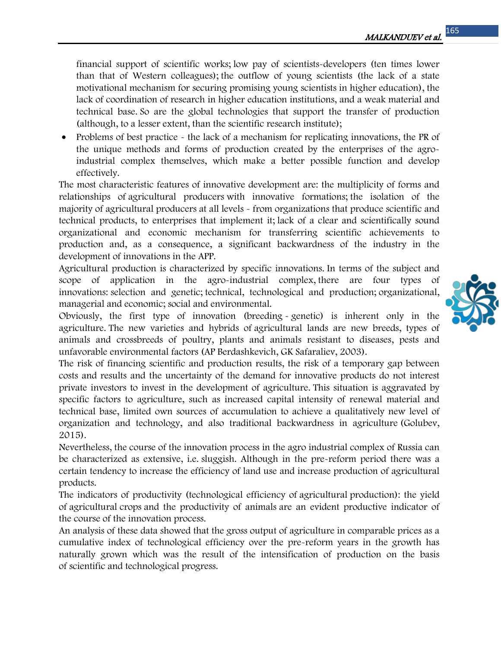financial support of scientific works; low pay of scientists-developers (ten times lower than that of Western colleagues); the outflow of young scientists (the lack of a state motivational mechanism for securing promising young scientists in higher education), the lack of coordination of research in higher education institutions, and a weak material and technical base. So are the global technologies that support the transfer of production (although, to a lesser extent, than the scientific research institute);

• Problems of best practice  $\sim$  the lack of a mechanism for replicating innovations, the PR of the unique methods and forms of production created by the enterprises of the agroindustrial complex themselves, which make a better possible function and develop effectively.

The most characteristic features of innovative development are: the multiplicity of forms and relationships of agricultural producers with innovative formations; the isolation of the majority of agricultural producers at all levels - from organizations that produce scientific and technical products, to enterprises that implement it; lack of a clear and scientifically sound organizational and economic mechanism for transferring scientific achievements to production and, as a consequence, a significant backwardness of the industry in the development of innovations in the APP.

Agricultural production is characterized by specific innovations. In terms of the subject and scope of application in the agro-industrial complex, there are four types of innovations: selection and genetic; technical, technological and production; organizational, managerial and economic; social and environmental.

Obviously, the first type of innovation (breeding - genetic) is inherent only in the agriculture. The new varieties and hybrids of agricultural lands are new breeds, types of animals and crossbreeds of poultry, plants and animals resistant to diseases, pests and unfavorable environmental factors (AP Berdashkevich, GK Safaraliev, 2003).

The risk of financing scientific and production results, the risk of a temporary gap between costs and results and the uncertainty of the demand for innovative products do not interest private investors to invest in the development of agriculture. This situation is aggravated by specific factors to agriculture, such as increased capital intensity of renewal material and technical base, limited own sources of accumulation to achieve a qualitatively new level of organization and technology, and also traditional backwardness in agriculture (Golubev, 2015).

Nevertheless, the course of the innovation process in the agro industrial complex of Russia can be characterized as extensive, i.e. sluggish. Although in the pre-reform period there was a certain tendency to increase the efficiency of land use and increase production of agricultural products.

The indicators of productivity (technological efficiency of agricultural production): the yield of agricultural crops and the productivity of animals are an evident productive indicator of the course of the innovation process.

An analysis of these data showed that the gross output of agriculture in comparable prices as a cumulative index of technological efficiency over the pre-reform years in the growth has naturally grown which was the result of the intensification of production on the basis of scientific and technological progress.

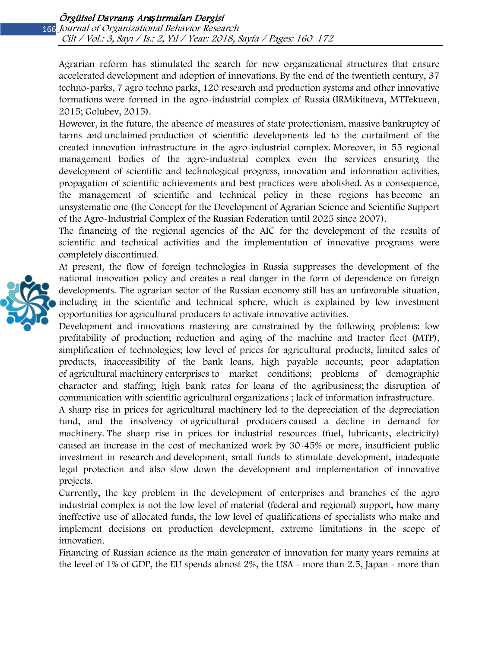Agrarian reform has stimulated the search for new organizational structures that ensure accelerated development and adoption of innovations. By the end of the twentieth century, 37 techno-parks, 7 agro techno parks, 120 research and production systems and other innovative formations were formed in the agro-industrial complex of Russia (IRMikitaeva, MTTekueva, 2015; Golubev, 2015).

However, in the future, the absence of measures of state protectionism, massive bankruptcy of farms and unclaimed production of scientific developments led to the curtailment of the created innovation infrastructure in the agro-industrial complex. Moreover, in 55 regional management bodies of the agro-industrial complex even the services ensuring the development of scientific and technological progress, innovation and information activities, propagation of scientific achievements and best practices were abolished. As a consequence, the management of scientific and technical policy in these regions has become an unsystematic one (the Concept for the Development of Agrarian Science and Scientific Support of the Agro-Industrial Complex of the Russian Federation until 2025 since 2007).

The financing of the regional agencies of the AIC for the development of the results of scientific and technical activities and the implementation of innovative programs were completely discontinued.

At present, the flow of foreign technologies in Russia suppresses the development of the national innovation policy and creates a real danger in the form of dependence on foreign developments. The agrarian sector of the Russian economy still has an unfavorable situation, including in the scientific and technical sphere, which is explained by low investment opportunities for agricultural producers to activate innovative activities.

Development and innovations mastering are constrained by the following problems: low profitability of production; reduction and aging of the machine and tractor fleet (MTP), simplification of technologies; low level of prices for agricultural products, limited sales of products, inaccessibility of the bank loans, high payable accounts; poor adaptation of agricultural machinery enterprises to market conditions; problems of demographic character and staffing; high bank rates for loans of the agribusiness; the disruption of communication with scientific agricultural organizations ; lack of information infrastructure.

A sharp rise in prices for agricultural machinery led to the depreciation of the depreciation fund, and the insolvency of agricultural producers caused a decline in demand for machinery. The sharp rise in prices for industrial resources (fuel, lubricants, electricity) caused an increase in the cost of mechanized work by 30-45% or more, insufficient public investment in research and development, small funds to stimulate development, inadequate legal protection and also slow down the development and implementation of innovative projects.

Currently, the key problem in the development of enterprises and branches of the agro industrial complex is not the low level of material (federal and regional) support, how many ineffective use of allocated funds, the low level of qualifications of specialists who make and implement decisions on production development, extreme limitations in the scope of innovation.

Financing of Russian science as the main generator of innovation for many years remains at the level of 1% of GDP, the EU spends almost 2%, the USA - more than 2.5, Japan - more than

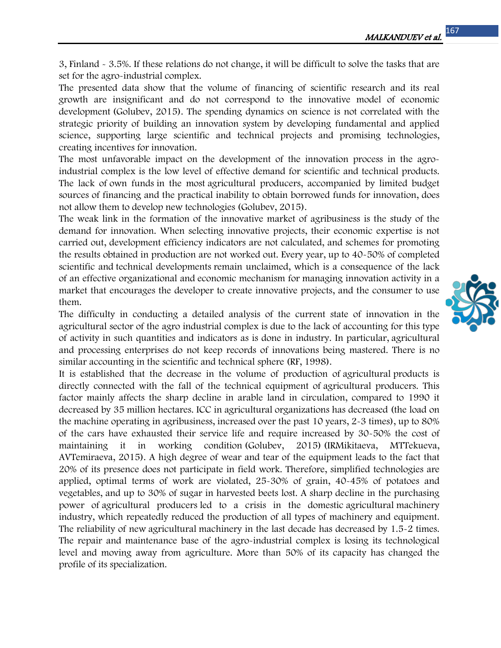3, Finland - 3.5%. If these relations do not change, it will be difficult to solve the tasks that are set for the agro-industrial complex.

The presented data show that the volume of financing of scientific research and its real growth are insignificant and do not correspond to the innovative model of economic development (Golubev, 2015). The spending dynamics on science is not correlated with the strategic priority of building an innovation system by developing fundamental and applied science, supporting large scientific and technical projects and promising technologies, creating incentives for innovation.

The most unfavorable impact on the development of the innovation process in the agroindustrial complex is the low level of effective demand for scientific and technical products. The lack of own funds in the most agricultural producers, accompanied by limited budget sources of financing and the practical inability to obtain borrowed funds for innovation, does not allow them to develop new technologies (Golubev, 2015).

The weak link in the formation of the innovative market of agribusiness is the study of the demand for innovation. When selecting innovative projects, their economic expertise is not carried out, development efficiency indicators are not calculated, and schemes for promoting the results obtained in production are not worked out. Every year, up to 40-50% of completed scientific and technical developments remain unclaimed, which is a consequence of the lack of an effective organizational and economic mechanism for managing innovation activity in a market that encourages the developer to create innovative projects, and the consumer to use them.

The difficulty in conducting a detailed analysis of the current state of innovation in the agricultural sector of the agro industrial complex is due to the lack of accounting for this type of activity in such quantities and indicators as is done in industry. In particular, agricultural and processing enterprises do not keep records of innovations being mastered. There is no similar accounting in the scientific and technical sphere (RF, 1998).

It is established that the decrease in the volume of production of agricultural products is directly connected with the fall of the technical equipment of agricultural producers. This factor mainly affects the sharp decline in arable land in circulation, compared to 1990 it decreased by 35 million hectares. ICC in agricultural organizations has decreased (the load on the machine operating in agribusiness, increased over the past 10 years, 2-3 times), up to 80% of the cars have exhausted their service life and require increased by 30-50% the cost of maintaining it in working condition (Golubev, 2015) (IRMikitaeva, MTTekueva, AVTemiraeva, 2015). A high degree of wear and tear of the equipment leads to the fact that 20% of its presence does not participate in field work. Therefore, simplified technologies are applied, optimal terms of work are violated, 25-30% of grain, 40-45% of potatoes and vegetables, and up to 30% of sugar in harvested beets lost. A sharp decline in the purchasing power of agricultural producers led to a crisis in the domestic agricultural machinery industry, which repeatedly reduced the production of all types of machinery and equipment. The reliability of new agricultural machinery in the last decade has decreased by 1.5-2 times. The repair and maintenance base of the agro-industrial complex is losing its technological level and moving away from agriculture. More than 50% of its capacity has changed the profile of its specialization.

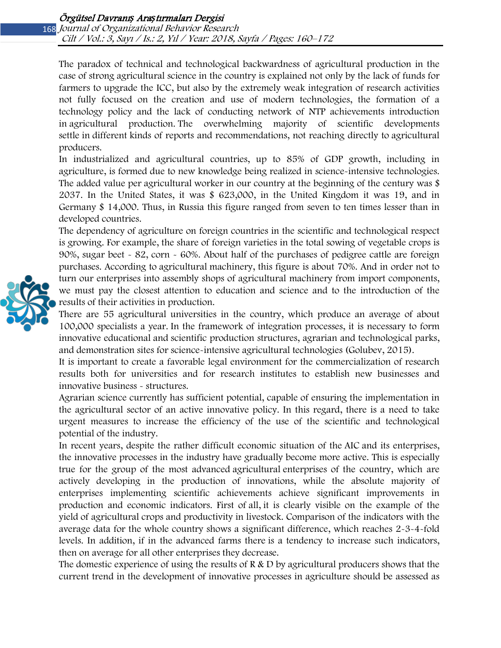The paradox of technical and technological backwardness of agricultural production in the case of strong agricultural science in the country is explained not only by the lack of funds for farmers to upgrade the ICC, but also by the extremely weak integration of research activities not fully focused on the creation and use of modern technologies, the formation of a technology policy and the lack of conducting network of NTP achievements introduction in agricultural production. The overwhelming majority of scientific developments settle in different kinds of reports and recommendations, not reaching directly to agricultural producers.

In industrialized and agricultural countries, up to 85% of GDP growth, including in agriculture, is formed due to new knowledge being realized in science-intensive technologies. The added value per agricultural worker in our country at the beginning of the century was \$ 2037. In the United States, it was \$ 623,000, in the United Kingdom it was 19, and in Germany \$ 14,000. Thus, in Russia this figure ranged from seven to ten times lesser than in developed countries.

The dependency of agriculture on foreign countries in the scientific and technological respect is growing. For example, the share of foreign varieties in the total sowing of vegetable crops is 90%, sugar beet - 82, corn - 60%. About half of the purchases of pedigree cattle are foreign purchases. According to agricultural machinery, this figure is about 70%. And in order not to turn our enterprises into assembly shops of agricultural machinery from import components, we must pay the closest attention to education and science and to the introduction of the results of their activities in production.

There are 55 agricultural universities in the country, which produce an average of about 100,000 specialists a year. In the framework of integration processes, it is necessary to form innovative educational and scientific production structures, agrarian and technological parks, and demonstration sites for science-intensive agricultural technologies (Golubev, 2015).

It is important to create a favorable legal environment for the commercialization of research results both for universities and for research institutes to establish new businesses and innovative business - structures.

Agrarian science currently has sufficient potential, capable of ensuring the implementation in the agricultural sector of an active innovative policy. In this regard, there is a need to take urgent measures to increase the efficiency of the use of the scientific and technological potential of the industry.

In recent years, despite the rather difficult economic situation of the AIC and its enterprises, the innovative processes in the industry have gradually become more active. This is especially true for the group of the most advanced agricultural enterprises of the country, which are actively developing in the production of innovations, while the absolute majority of enterprises implementing scientific achievements achieve significant improvements in production and economic indicators. First of all, it is clearly visible on the example of the yield of agricultural crops and productivity in livestock. Comparison of the indicators with the average data for the whole country shows a significant difference, which reaches 2-3-4-fold levels. In addition, if in the advanced farms there is a tendency to increase such indicators, then on average for all other enterprises they decrease.

The domestic experience of using the results of  $R \& D$  by agricultural producers shows that the current trend in the development of innovative processes in agriculture should be assessed as

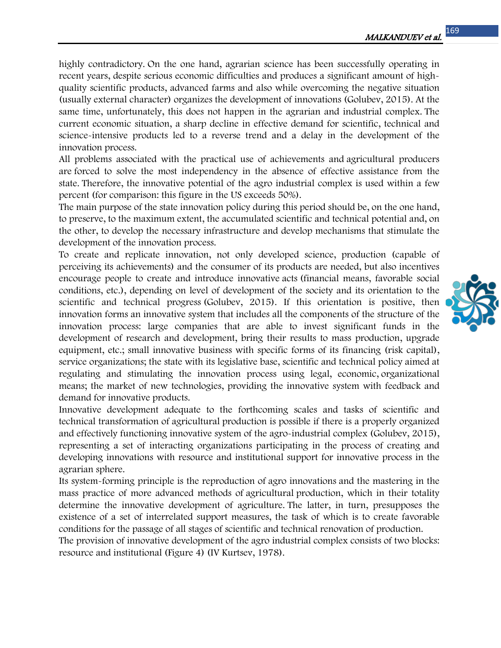highly contradictory. On the one hand, agrarian science has been successfully operating in recent years, despite serious economic difficulties and produces a significant amount of highquality scientific products, advanced farms and also while overcoming the negative situation (usually external character) organizes the development of innovations (Golubev, 2015). At the same time, unfortunately, this does not happen in the agrarian and industrial complex. The current economic situation, a sharp decline in effective demand for scientific, technical and science-intensive products led to a reverse trend and a delay in the development of the innovation process.

All problems associated with the practical use of achievements and agricultural producers are forced to solve the most independency in the absence of effective assistance from the state. Therefore, the innovative potential of the agro industrial complex is used within a few percent (for comparison: this figure in the US exceeds 50%).

The main purpose of the state innovation policy during this period should be, on the one hand, to preserve, to the maximum extent, the accumulated scientific and technical potential and, on the other, to develop the necessary infrastructure and develop mechanisms that stimulate the development of the innovation process.

To create and replicate innovation, not only developed science, production (capable of perceiving its achievements) and the consumer of its products are needed, but also incentives encourage people to create and introduce innovative acts (financial means, favorable social conditions, etc.), depending on level of development of the society and its orientation to the scientific and technical progress (Golubev, 2015). If this orientation is positive, then innovation forms an innovative system that includes all the components of the structure of the innovation process: large companies that are able to invest significant funds in the development of research and development, bring their results to mass production, upgrade equipment, etc.; small innovative business with specific forms of its financing (risk capital), service organizations; the state with its legislative base, scientific and technical policy aimed at regulating and stimulating the innovation process using legal, economic, organizational means; the market of new technologies, providing the innovative system with feedback and demand for innovative products.

Innovative development adequate to the forthcoming scales and tasks of scientific and technical transformation of agricultural production is possible if there is a properly organized and effectively functioning innovative system of the agro-industrial complex (Golubev, 2015), representing a set of interacting organizations participating in the process of creating and developing innovations with resource and institutional support for innovative process in the agrarian sphere.

Its system-forming principle is the reproduction of agro innovations and the mastering in the mass practice of more advanced methods of agricultural production, which in their totality determine the innovative development of agriculture. The latter, in turn, presupposes the existence of a set of interrelated support measures, the task of which is to create favorable conditions for the passage of all stages of scientific and technical renovation of production.

The provision of innovative development of the agro industrial complex consists of two blocks: resource and institutional (Figure 4) (IV Kurtsev, 1978).

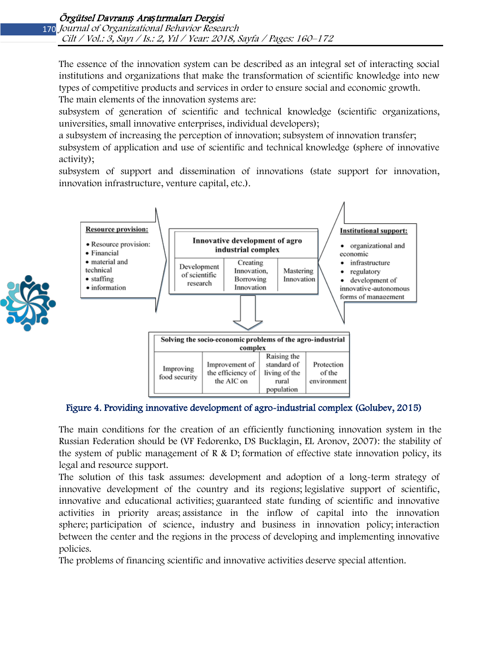The essence of the innovation system can be described as an integral set of interacting social institutions and organizations that make the transformation of scientific knowledge into new types of competitive products and services in order to ensure social and economic growth. The main elements of the innovation systems are:

subsystem of generation of scientific and technical knowledge (scientific organizations, universities, small innovative enterprises, individual developers);

a subsystem of increasing the perception of innovation; subsystem of innovation transfer;

subsystem of application and use of scientific and technical knowledge (sphere of innovative activity);

subsystem of support and dissemination of innovations (state support for innovation, innovation infrastructure, venture capital, etc.).



Figure 4. Providing innovative development of agro-industrial complex (Golubev, 2015)

The main conditions for the creation of an efficiently functioning innovation system in the Russian Federation should be (VF Fedorenko, DS Bucklagin, EL Aronov, 2007): the stability of the system of public management of R & D; formation of effective state innovation policy, its legal and resource support.

The solution of this task assumes: development and adoption of a long-term strategy of innovative development of the country and its regions; legislative support of scientific, innovative and educational activities; guaranteed state funding of scientific and innovative activities in priority areas; assistance in the inflow of capital into the innovation sphere; participation of science, industry and business in innovation policy; interaction between the center and the regions in the process of developing and implementing innovative policies.

The problems of financing scientific and innovative activities deserve special attention.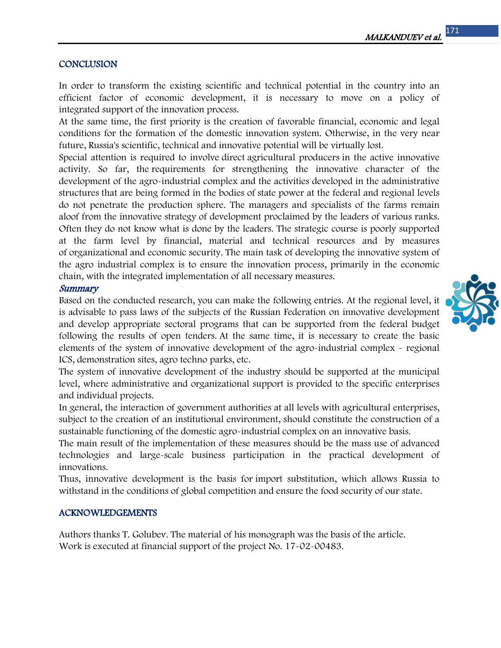### **CONCLUSION**

In order to transform the existing scientific and technical potential in the country into an efficient factor of economic development, it is necessary to move on a policy of integrated support of the innovation process.

At the same time, the first priority is the creation of favorable financial, economic and legal conditions for the formation of the domestic innovation system. Otherwise, in the very near future, Russia's scientific, technical and innovative potential will be virtually lost.

Special attention is required to involve direct agricultural producers in the active innovative activity. So far, the requirements for strengthening the innovative character of the development of the agro-industrial complex and the activities developed in the administrative structures that are being formed in the bodies of state power at the federal and regional levels do not penetrate the production sphere. The managers and specialists of the farms remain aloof from the innovative strategy of development proclaimed by the leaders of various ranks. Often they do not know what is done by the leaders. The strategic course is poorly supported at the farm level by financial, material and technical resources and by measures of organizational and economic security. The main task of developing the innovative system of the agro industrial complex is to ensure the innovation process, primarily in the economic chain, with the integrated implementation of all necessary measures.

### Summary

Based on the conducted research, you can make the following entries. At the regional level, it is advisable to pass laws of the subjects of the Russian Federation on innovative development and develop appropriate sectoral programs that can be supported from the federal budget following the results of open tenders. At the same time, it is necessary to create the basic elements of the system of innovative development of the agro-industrial complex - regional ICS, demonstration sites, agro techno parks, etc.

The system of innovative development of the industry should be supported at the municipal level, where administrative and organizational support is provided to the specific enterprises and individual projects.

In general, the interaction of government authorities at all levels with agricultural enterprises, subject to the creation of an institutional environment, should constitute the construction of a sustainable functioning of the domestic agro-industrial complex on an innovative basis.

The main result of the implementation of these measures should be the mass use of advanced technologies and large-scale business participation in the practical development of innovations.

Thus, innovative development is the basis for import substitution, which allows Russia to withstand in the conditions of global competition and ensure the food security of our state.

## ACKNOWLEDGEMENTS

Authors thanks T. Golubev. The material of his monograph was the basis of the article. Work is executed at financial support of the project No. 17-02-00483.